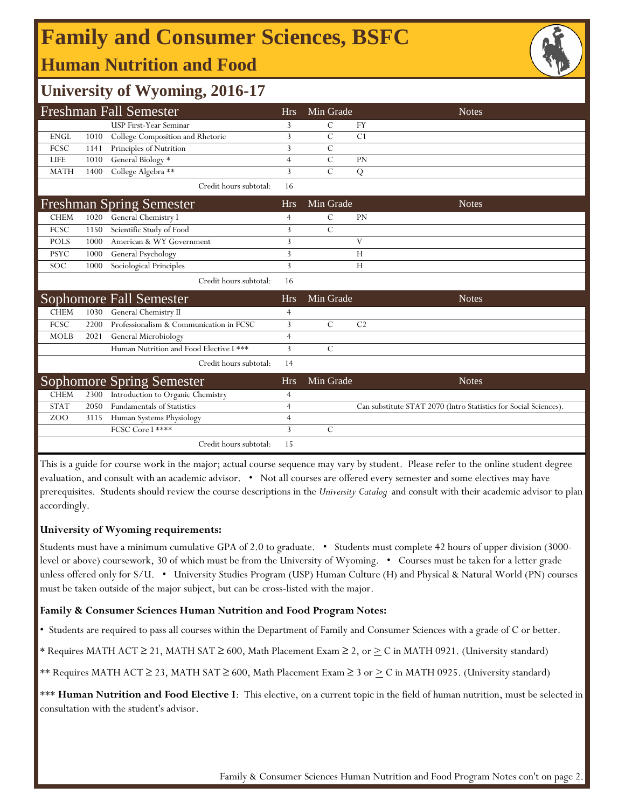## **Human Nutrition and Food Family and Consumer Sciences, BSFC**



### **University of Wyoming, 2016-17**

|             |      | <b>Freshman Fall Semester</b>           | <b>Hrs</b>     | Min Grade      | <b>Notes</b>                                                     |
|-------------|------|-----------------------------------------|----------------|----------------|------------------------------------------------------------------|
|             |      | USP First-Year Seminar                  | 3              | C              | <b>FY</b>                                                        |
| <b>ENGL</b> | 1010 | College Composition and Rhetoric        | 3              | $\mathcal{C}$  | C <sub>1</sub>                                                   |
| FCSC        | 1141 | Principles of Nutrition                 | 3              | C              |                                                                  |
| <b>LIFE</b> | 1010 | General Biology *                       | $\overline{4}$ | $\overline{C}$ | PN                                                               |
| <b>MATH</b> | 1400 | College Algebra **                      | 3              | $\mathcal{C}$  | ${\bf Q}$                                                        |
|             |      | Credit hours subtotal:                  | 16             |                |                                                                  |
|             |      | <b>Freshman Spring Semester</b>         | <b>Hrs</b>     | Min Grade      | <b>Notes</b>                                                     |
| <b>CHEM</b> | 1020 | General Chemistry I                     | 4              | C              | PN                                                               |
| FCSC        | 1150 | Scientific Study of Food                | 3              | $\overline{C}$ |                                                                  |
| <b>POLS</b> | 1000 | American & WY Government                | 3              |                | V                                                                |
| <b>PSYC</b> | 1000 | General Psychology                      | 3              |                | H                                                                |
| SOC         | 1000 | Sociological Principles                 | 3              |                | Н                                                                |
|             |      | Credit hours subtotal:                  | 16             |                |                                                                  |
|             |      | Sophomore Fall Semester                 | <b>Hrs</b>     | Min Grade      | <b>Notes</b>                                                     |
| <b>CHEM</b> | 1030 | General Chemistry II                    | 4              |                |                                                                  |
| FCSC        | 2200 | Professionalism & Communication in FCSC | 3              | $\mathcal{C}$  | C <sub>2</sub>                                                   |
| <b>MOLB</b> | 2021 | General Microbiology                    | $\overline{4}$ |                |                                                                  |
|             |      | Human Nutrition and Food Elective I *** | 3              | $\mathcal{C}$  |                                                                  |
|             |      | Credit hours subtotal:                  | 14             |                |                                                                  |
|             |      | <b>Sophomore Spring Semester</b>        | <b>Hrs</b>     | Min Grade      | <b>Notes</b>                                                     |
| <b>CHEM</b> | 2300 | Introduction to Organic Chemistry       | $\overline{4}$ |                |                                                                  |
| <b>STAT</b> | 2050 | <b>Fundamentals of Statistics</b>       | 4              |                | Can substitute STAT 2070 (Intro Statistics for Social Sciences). |
| ZOO         | 3115 | Human Systems Physiology                | 4              |                |                                                                  |
|             |      | FCSC Core I ****                        | 3              | $\mathcal{C}$  |                                                                  |
|             |      | Credit hours subtotal:                  | 15             |                |                                                                  |

This is a guide for course work in the major; actual course sequence may vary by student. Please refer to the online student degree evaluation, and consult with an academic advisor. • Not all courses are offered every semester and some electives may have prerequisites. Students should review the course descriptions in the *University Catalog* and consult with their academic advisor to plan accordingly.

### **University of Wyoming requirements:**

Students must have a minimum cumulative GPA of 2.0 to graduate. • Students must complete 42 hours of upper division (3000 level or above) coursework, 30 of which must be from the University of Wyoming. • Courses must be taken for a letter grade unless offered only for S/U. • University Studies Program (USP) Human Culture (H) and Physical & Natural World (PN) courses must be taken outside of the major subject, but can be cross-listed with the major.

### **Family & Consumer Sciences Human Nutrition and Food Program Notes:**

• Students are required to pass all courses within the Department of Family and Consumer Sciences with a grade of C or better.

\* Requires MATH ACT ≥ 21, MATH SAT ≥ 600, Math Placement Exam ≥ 2, or  $\geq C$  in MATH 0921. (University standard)

\*\* Requires MATH ACT ≥ 23, MATH SAT ≥ 600, Math Placement Exam ≥ 3 or ≥ C in MATH 0925. (University standard)

\*\*\* Human Nutrition and Food Elective I: This elective, on a current topic in the field of human nutrition, must be selected in consultation with the student's advisor.